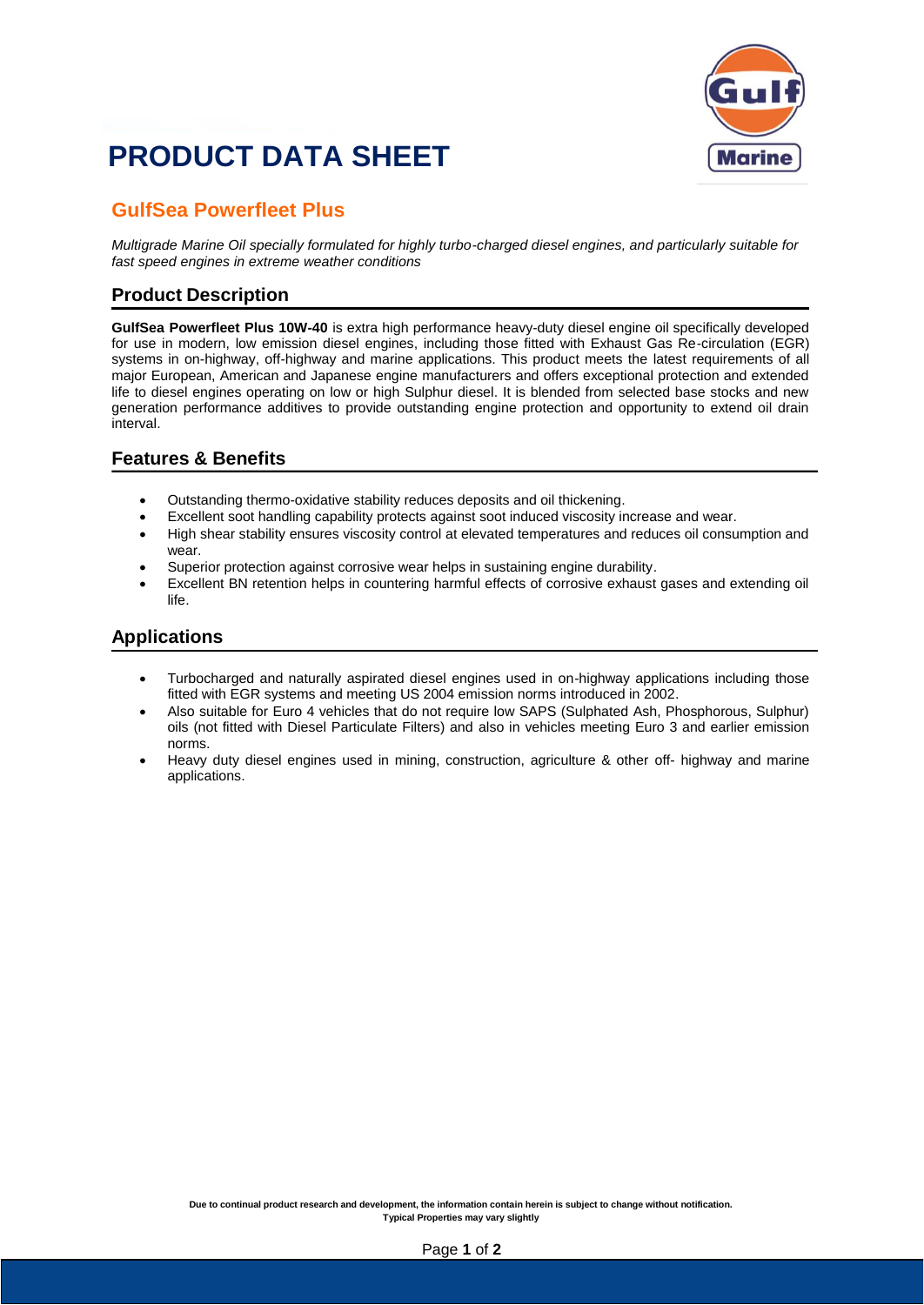# **PRODUCT DATA SHEET**



### **GulfSea Powerfleet Plus**

*Multigrade Marine Oil specially formulated for highly turbo-charged diesel engines, and particularly suitable for fast speed engines in extreme weather conditions*

#### **Product Description**

**GulfSea Powerfleet Plus 10W-40** is extra high performance heavy-duty diesel engine oil specifically developed for use in modern, low emission diesel engines, including those fitted with Exhaust Gas Re-circulation (EGR) systems in on-highway, off-highway and marine applications. This product meets the latest requirements of all major European, American and Japanese engine manufacturers and offers exceptional protection and extended life to diesel engines operating on low or high Sulphur diesel. It is blended from selected base stocks and new generation performance additives to provide outstanding engine protection and opportunity to extend oil drain interval.

#### **Features & Benefits**

- Outstanding thermo-oxidative stability reduces deposits and oil thickening.
- Excellent soot handling capability protects against soot induced viscosity increase and wear.
- High shear stability ensures viscosity control at elevated temperatures and reduces oil consumption and wear.
- Superior protection against corrosive wear helps in sustaining engine durability.
- Excellent BN retention helps in countering harmful effects of corrosive exhaust gases and extending oil life.

#### **Applications**

- Turbocharged and naturally aspirated diesel engines used in on-highway applications including those fitted with EGR systems and meeting US 2004 emission norms introduced in 2002.
- Also suitable for Euro 4 vehicles that do not require low SAPS (Sulphated Ash, Phosphorous, Sulphur) oils (not fitted with Diesel Particulate Filters) and also in vehicles meeting Euro 3 and earlier emission norms.
- Heavy duty diesel engines used in mining, construction, agriculture & other off- highway and marine applications.